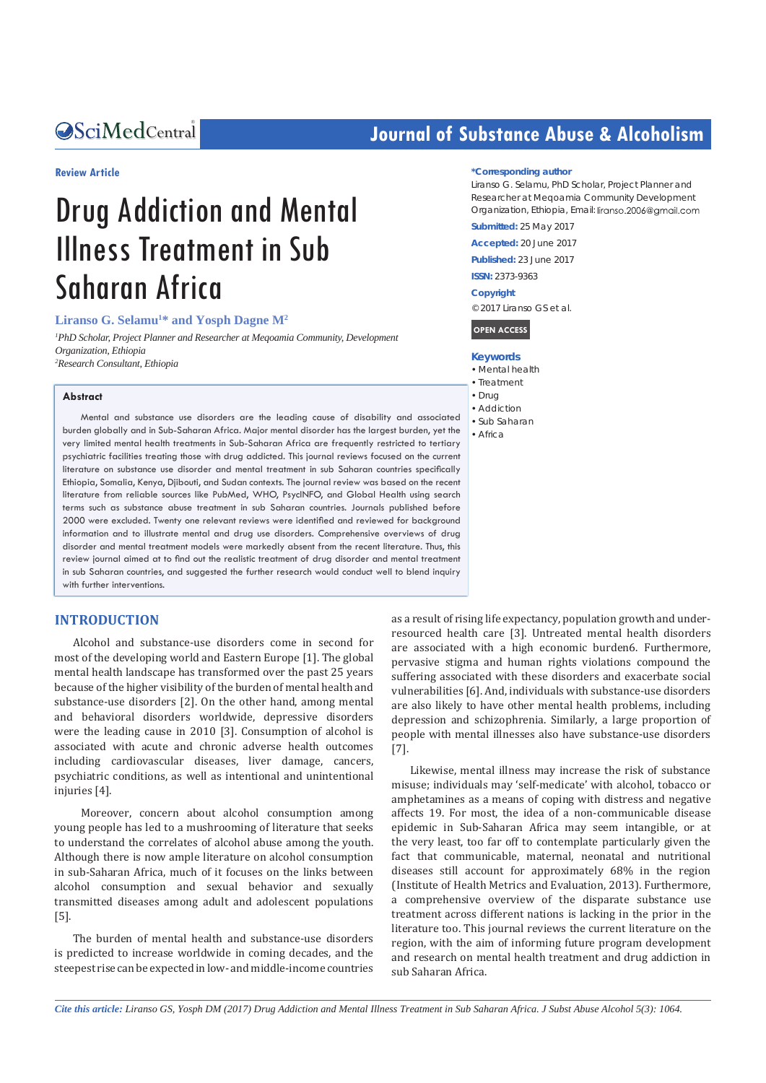# Central *Bringing Excellence in Open Access*

#### **Review Article**

# Drug Addiction and Mental Illness Treatment in Sub Saharan Africa

#### Liranso G. Selamu<sup>1\*</sup> and Yosph Dagne M<sup>2</sup>

<sup>1</sup> PhD Scholar, Project Planner and Researcher at Meqoamia Community, Development *Organization, Ethiopia 2 Research Consultant, Ethiopia*

#### **Abstract**

Mental and substance use disorders are the leading cause of disability and associated burden globally and in Sub-Saharan Africa. Major mental disorder has the largest burden, yet the very limited mental health treatments in Sub-Saharan Africa are frequently restricted to tertiary psychiatric facilities treating those with drug addicted. This journal reviews focused on the current literature on substance use disorder and mental treatment in sub Saharan countries specifically Ethiopia, Somalia, Kenya, Djibouti, and Sudan contexts. The journal review was based on the recent literature from reliable sources like PubMed, WHO, PsycINFO, and Global Health using search terms such as substance abuse treatment in sub Saharan countries. Journals published before 2000 were excluded. Twenty one relevant reviews were identified and reviewed for background information and to illustrate mental and drug use disorders. Comprehensive overviews of drug disorder and mental treatment models were markedly absent from the recent literature. Thus, this review journal aimed at to find out the realistic treatment of drug disorder and mental treatment in sub Saharan countries, and suggested the further research would conduct well to blend inquiry with further interventions.

#### **INTRODUCTION**

Alcohol and substance-use disorders come in second for most of the developing world and Eastern Europe [1]. The global mental health landscape has transformed over the past 25 years because of the higher visibility of the burden of mental health and substance-use disorders [2]. On the other hand, among mental and behavioral disorders worldwide, depressive disorders were the leading cause in 2010 [3]. Consumption of alcohol is associated with acute and chronic adverse health outcomes including cardiovascular diseases, liver damage, cancers, psychiatric conditions, as well as intentional and unintentional injuries [4].

 Moreover, concern about alcohol consumption among young people has led to a mushrooming of literature that seeks to understand the correlates of alcohol abuse among the youth. Although there is now ample literature on alcohol consumption in sub-Saharan Africa, much of it focuses on the links between alcohol consumption and sexual behavior and sexually transmitted diseases among adult and adolescent populations [5].

The burden of mental health and substance-use disorders is predicted to increase worldwide in coming decades, and the steepest rise can be expected in low- and middle-income countries

# **Journal of Substance Abuse & Alcoholism**

#### **\*Corresponding author**

Liranso G. Selamu, PhD Scholar, Project Planner and Researcher at Meqoamia Community Development Organization, Ethiopia, Email: liranso.2006@gmail.com

**Submitted:** 25 May 2017

**Accepted:** 20 June 2017

**Published:** 23 June 2017 **ISSN:** 2373-9363

**Copyright**

© 2017 Liranso GS et al.

**OPEN ACCESS**

- **Keywords**
- • Mental health
- • Treatment
- Drug
- Addiction • Sub Saharan
- • Africa

as a result of rising life expectancy, population growth and underresourced health care [3]. Untreated mental health disorders are associated with a high economic burde[n6](http://www.nature.com/nature/journal/v527/n7578_supp_custom/full/nature16032.html#ref6). Furthermore, pervasive stigma and human rights violations compound the suffering associated with these disorders and exacerbate social vulnerabilities [6]. And, individuals with substance-use disorders are also likely to have other mental health problems, including depression and schizophrenia. Similarly, a large proportion of people with mental illnesses also have substance-use disorders [7].

Likewise, mental illness may increase the risk of substance misuse; individuals may 'self-medicate' with alcohol, tobacco or amphetamines as a means of coping with distress and negative affects 19. For most, the idea of a non-communicable disease epidemic in Sub-Saharan Africa may seem intangible, or at the very least, too far off to contemplate particularly given the fact that communicable, maternal, neonatal and nutritional diseases still account for approximately 68% in the region (Institute of Health Metrics and Evaluation, 2013). Furthermore, a comprehensive overview of the disparate substance use treatment across different nations is lacking in the prior in the literature too. This journal reviews the current literature on the region, with the aim of informing future program development and research on mental health treatment and drug addiction in sub Saharan Africa.

*Cite this article: Liranso GS, Yosph DM (2017) Drug Addiction and Mental Illness Treatment in Sub Saharan Africa. J Subst Abuse Alcohol 5(3): 1064.*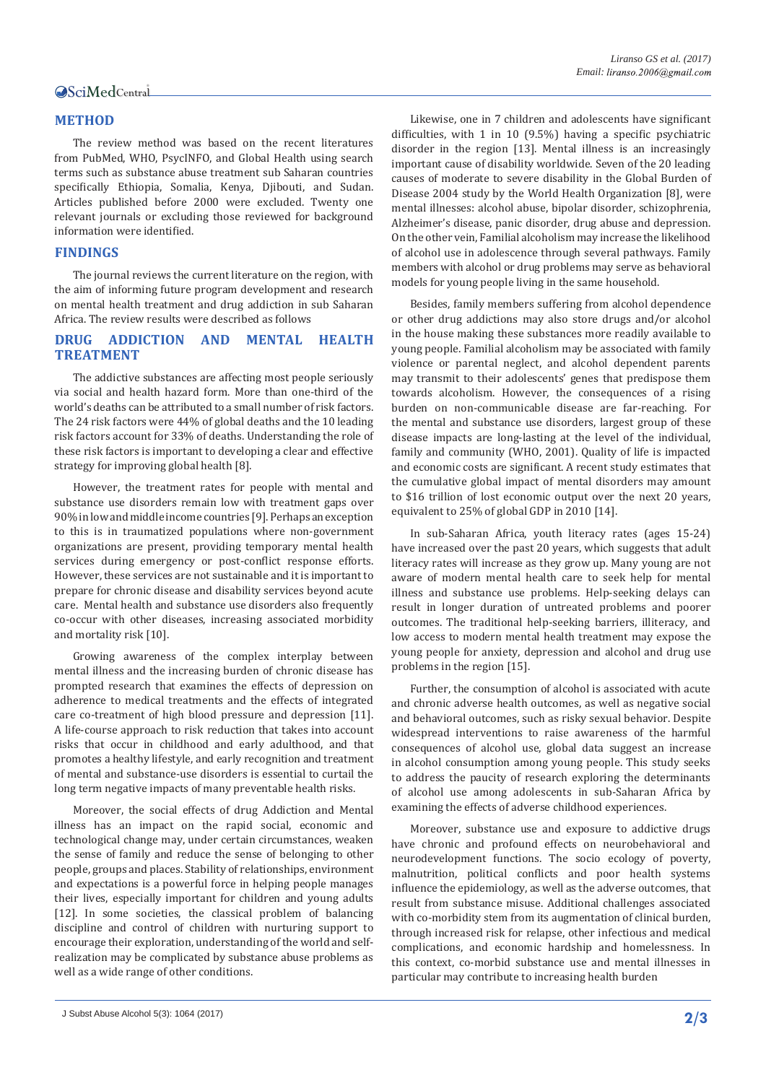# Central

# **METHOD**

The review method was based on the recent literatures from PubMed, WHO, PsycINFO, and Global Health using search terms such as substance abuse treatment sub Saharan countries specifically Ethiopia, Somalia, Kenya, Djibouti, and Sudan. Articles published before 2000 were excluded. Twenty one relevant journals or excluding those reviewed for background information were identified.

# **FINDINGS**

The journal reviews the current literature on the region, with the aim of informing future program development and research on mental health treatment and drug addiction in sub Saharan Africa. The review results were described as follows

### **DRUG ADDICTION AND MENTAL HEALTH TREATMENT**

The addictive substances are affecting most people seriously via social and health hazard form. More than one-third of the world's deaths can be attributed to a small number of risk factors. The 24 risk factors were 44% of global deaths and the 10 leading risk factors account for 33% of deaths. Understanding the role of these risk factors is important to developing a clear and effective strategy for improving global health [8].

However, the treatment rates for people with mental and substance use disorders remain low with treatment gaps over 90% in low and middle income countries [9]. Perhaps an exception to this is in traumatized populations where non-government organizations are present, providing temporary mental health services during emergency or post-conflict response efforts. However, these services are not sustainable and it is important to prepare for chronic disease and disability services beyond acute care. Mental health and substance use disorders also frequently co-occur with other diseases, increasing associated morbidity and mortality risk [10].

Growing awareness of the complex interplay between mental illness and the increasing burden of chronic disease has prompted research that examines the effects of depression on adherence to medical treatments and the effects of integrated care co-treatment of high blood pressure and depression [11]. A life-course approach to risk reduction that takes into account risks that occur in childhood and early adulthood, and that promotes a healthy lifestyle, and early recognition and treatment of mental and substance-use disorders is essential to curtail the long term negative impacts of many preventable health risks.

Moreover, the social effects of drug Addiction and Mental illness has an impact on the rapid social, economic and technological change may, under certain circumstances, weaken the sense of family and reduce the sense of belonging to other people, groups and places. Stability of relationships, environment and expectations is a powerful force in helping people manages their lives, especially important for children and young adults [12]. In some societies, the classical problem of balancing discipline and control of children with nurturing support to encourage their exploration, understanding of the world and selfrealization may be complicated by substance abuse problems as well as a wide range of other conditions.

Likewise, one in 7 children and adolescents have significant difficulties, with 1 in 10 (9.5%) having a specific psychiatric disorder in the region [13]. Mental illness is an increasingly important cause of disability worldwide. Seven of the 20 leading causes of moderate to severe disability in the Global Burden of Disease 2004 study by the World Health Organization [8], were mental illnesses: alcohol abuse, bipolar disorder, schizophrenia, Alzheimer's disease, panic disorder, drug abuse and depression. On the other vein, Familial alcoholism may increase the likelihood of alcohol use in adolescence through several pathways. Family members with alcohol or drug problems may serve as behavioral models for young people living in the same household.

Besides, family members suffering from alcohol dependence or other drug addictions may also store drugs and/or alcohol in the house making these substances more readily available to young people. Familial alcoholism may be associated with family violence or parental neglect, and alcohol dependent parents may transmit to their adolescents' genes that predispose them towards alcoholism. However, the consequences of a rising burden on non-communicable disease are far-reaching. For the mental and substance use disorders, largest group of these disease impacts are long-lasting at the level of the individual, family and community (WHO, 2001). Quality of life is impacted and economic costs are significant. A recent study estimates that the cumulative global impact of mental disorders may amount to \$16 trillion of lost economic output over the next 20 years, equivalent to 25% of global GDP in 2010 [14].

In sub-Saharan Africa, youth literacy rates (ages 15-24) have increased over the past 20 years, which suggests that adult literacy rates will increase as they grow up. Many young are not aware of modern mental health care to seek help for mental illness and substance use problems. Help-seeking delays can result in longer duration of untreated problems and poorer outcomes. The traditional help-seeking barriers, illiteracy, and low access to modern mental health treatment may expose the young people for anxiety, depression and alcohol and drug use problems in the region [15].

Further, the consumption of alcohol is associated with acute and chronic adverse health outcomes, as well as negative social and behavioral outcomes, such as risky sexual behavior. Despite widespread interventions to raise awareness of the harmful consequences of alcohol use, global data suggest an increase in alcohol consumption among young people. This study seeks to address the paucity of research exploring the determinants of alcohol use among adolescents in sub-Saharan Africa by examining the effects of adverse childhood experiences.

Moreover, substance use and exposure to addictive drugs have chronic and profound effects on neurobehavioral and neurodevelopment functions. The socio ecology of poverty, malnutrition, political conflicts and poor health systems influence the epidemiology, as well as the adverse outcomes, that result from substance misuse. Additional challenges associated with co-morbidity stem from its augmentation of clinical burden, through increased risk for relapse, other infectious and medical complications, and economic hardship and homelessness. In this context, co-morbid substance use and mental illnesses in particular may contribute to increasing health burden

J Subst Abuse Alcohol 5(3): 1064 (2017) **2/3**